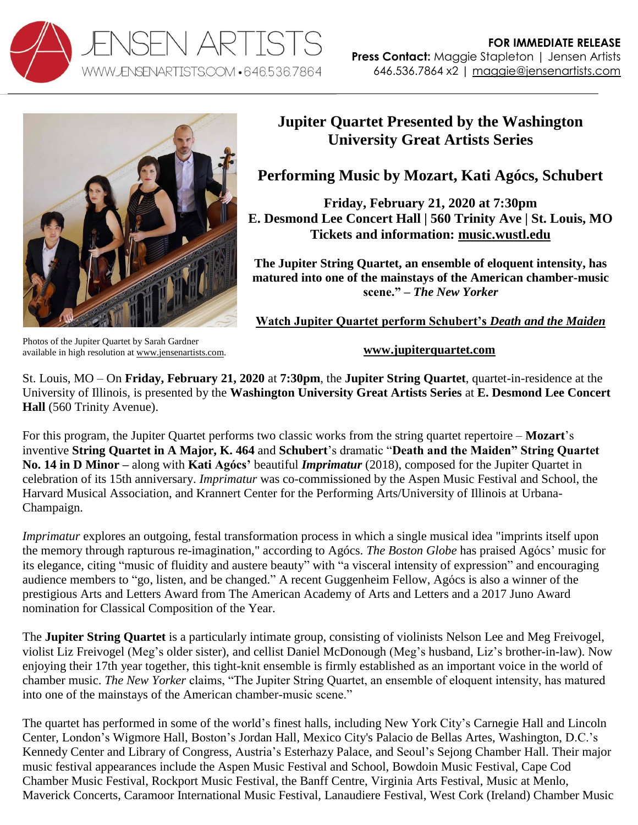



## **Jupiter Quartet Presented by the Washington University Great Artists Series**

## **Performing Music by Mozart, Kati Agócs, Schubert**

**Friday, February 21, 2020 at 7:30pm E. Desmond Lee Concert Hall | 560 Trinity Ave | St. Louis, MO Tickets and information: [music.wustl.edu](https://music.wustl.edu/events/great-artists-series-19-20-jupiter-string-quartet?d=2020-02-21)**

**The Jupiter String Quartet, an ensemble of eloquent intensity, has matured into one of the mainstays of the American chamber-music scene." –** *The New Yorker*

**Watch Jupiter Quartet perform Schubert's** *Death and the Maiden*

Photos of the Jupiter Quartet by Sarah Gardner available in high resolution at [www.jensenartists.com.](http://www.jensenartists.com/jupiter-string-quartet)

**[www.jupiterquartet.com](http://www.jupiterquartet.com/)**

St. Louis, MO – On **Friday, February 21, 2020** at **7:30pm**, the **Jupiter String Quartet**, quartet-in-residence at the University of Illinois, is presented by the **Washington University Great Artists Series** at **E. Desmond Lee Concert Hall** (560 Trinity Avenue).

For this program, the Jupiter Quartet performs two classic works from the string quartet repertoire – **Mozart**'s inventive **String Quartet in A Major, K. 464** and **Schubert**'s dramatic "**Death and the Maiden" String Quartet No. 14 in D Minor –** along with **Kati Agócs'** beautiful *Imprimatur* (2018), composed for the Jupiter Quartet in celebration of its 15th anniversary. *Imprimatur* was co-commissioned by the Aspen Music Festival and School, the Harvard Musical Association, and Krannert Center for the Performing Arts/University of Illinois at Urbana-Champaign.

*Imprimatur* explores an outgoing, festal transformation process in which a single musical idea "imprints itself upon the memory through rapturous re-imagination," according to Agócs. *The Boston Globe* has praised Agócs' music for its elegance, citing "music of fluidity and austere beauty" with "a visceral intensity of expression" and encouraging audience members to "go, listen, and be changed." A recent Guggenheim Fellow, Agócs is also a winner of the prestigious Arts and Letters Award from The American Academy of Arts and Letters and a 2017 Juno Award nomination for Classical Composition of the Year.

The **Jupiter String Quartet** is a particularly intimate group, consisting of violinists Nelson Lee and Meg Freivogel, violist Liz Freivogel (Meg's older sister), and cellist Daniel McDonough (Meg's husband, Liz's brother-in-law). Now enjoying their 17th year together, this tight-knit ensemble is firmly established as an important voice in the world of chamber music. *The New Yorker* claims, "The Jupiter String Quartet, an ensemble of eloquent intensity, has matured into one of the mainstays of the American chamber-music scene."

The quartet has performed in some of the world's finest halls, including New York City's Carnegie Hall and Lincoln Center, London's Wigmore Hall, Boston's Jordan Hall, Mexico City's Palacio de Bellas Artes, Washington, D.C.'s Kennedy Center and Library of Congress, Austria's Esterhazy Palace, and Seoul's Sejong Chamber Hall. Their major music festival appearances include the Aspen Music Festival and School, Bowdoin Music Festival, Cape Cod Chamber Music Festival, Rockport Music Festival, the Banff Centre, Virginia Arts Festival, Music at Menlo, Maverick Concerts, Caramoor International Music Festival, Lanaudiere Festival, West Cork (Ireland) Chamber Music